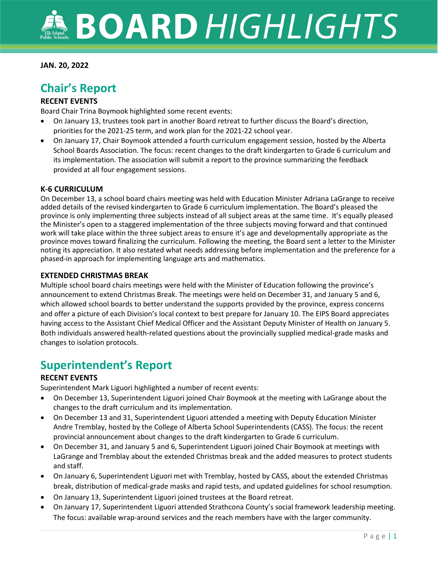#### **JAN. 20, 2022**

## **Chair's Report**

#### **RECENT EVENTS**

Board Chair Trina Boymook highlighted some recent events:

- On January 13, trustees took part in another Board retreat to further discuss the Board's direction, priorities for the 2021-25 term, and work plan for the 2021-22 school year.
- On January 17, Chair Boymook attended a fourth curriculum engagement session, hosted by the Alberta School Boards Association. The focus: recent changes to the draft kindergarten to Grade 6 curriculum and its implementation. The association will submit a report to the province summarizing the feedback provided at all four engagement sessions.

#### **K-6 CURRICULUM**

On December 13, a school board chairs meeting was held with Education Minister Adriana LaGrange to receive added details of the revised kindergarten to Grade 6 curriculum implementation. The Board's pleased the province is only implementing three subjects instead of all subject areas at the same time. It's equally pleased the Minister's open to a staggered implementation of the three subjects moving forward and that continued work will take place within the three subject areas to ensure it's age and developmentally appropriate as the province moves toward finalizing the curriculum. Following the meeting, the Board sent a letter to the Minister noting its appreciation. It also restated what needs addressing before implementation and the preference for a phased-in approach for implementing language arts and mathematics.

#### **EXTENDED CHRISTMAS BREAK**

Multiple school board chairs meetings were held with the Minister of Education following the province's announcement to extend Christmas Break. The meetings were held on December 31, and January 5 and 6, which allowed school boards to better understand the supports provided by the province, express concerns and offer a picture of each Division's local context to best prepare for January 10. The EIPS Board appreciates having access to the Assistant Chief Medical Officer and the Assistant Deputy Minister of Health on January 5. Both individuals answered health-related questions about the provincially supplied medical-grade masks and changes to isolation protocols.

## **Superintendent's Report**

#### **RECENT EVENTS**

Superintendent Mark Liguori highlighted a number of recent events:

- On December 13, Superintendent Liguori joined Chair Boymook at the meeting with LaGrange about the changes to the draft curriculum and its implementation.
- On December 13 and 31, Superintendent Liguori attended a meeting with Deputy Education Minister Andre Tremblay, hosted by the College of Alberta School Superintendents (CASS). The focus: the recent provincial announcement about changes to the draft kindergarten to Grade 6 curriculum.
- On December 31, and January 5 and 6, Superintendent Liguori joined Chair Boymook at meetings with LaGrange and Tremblay about the extended Christmas break and the added measures to protect students and staff.
- On January 6, Superintendent Liguori met with Tremblay, hosted by CASS, about the extended Christmas break, distribution of medical-grade masks and rapid tests, and updated guidelines for school resumption.
- On January 13, Superintendent Liguori joined trustees at the Board retreat.
- On January 17, Superintendent Liguori attended Strathcona County's social framework leadership meeting. The focus: available wrap-around services and the reach members have with the larger community.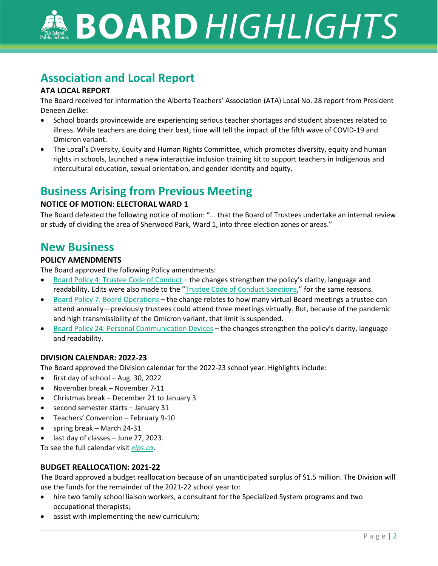**BOARD HIGHLIGHTS** 

## **Association and Local Report**

#### **ATA LOCAL REPORT**

The Board received for information the Alberta Teachers' Association (ATA) Local No. 28 report from President Deneen Zielke:

- School boards provincewide are experiencing serious teacher shortages and student absences related to illness. While teachers are doing their best, time will tell the impact of the fifth wave of COVID-19 and Omicron variant.
- The Local's Diversity, Equity and Human Rights Committee, which promotes diversity, equity and human rights in schools, launched a new interactive inclusion training kit to support teachers in Indigenous and intercultural education, sexual orientation, and gender identity and equity.

## **Business Arising from Previous Meeting**

#### **NOTICE OF MOTION: ELECTORAL WARD 1**

The Board defeated the following notice of motion: "... that the Board of Trustees undertake an internal review or study of dividing the area of Sherwood Park, Ward 1, into three election zones or areas."

## **New Business**

#### **POLICY AMENDMENTS**

The Board approved the following Policy amendments:

- [Board Policy 4: Trustee Code of Conduct](https://www.eips.ca/about-us/board-policies/514) the changes strengthen the policy's clarity, language and readability. Edits were also made to the ["Trustee Code of Conduct Sanctions,](https://www.eips.ca/about-us/board-policies/532)" for the same reasons.
- [Board Policy 7: Board Operations](https://www.eips.ca/about-us/board-policies/517) the change relates to how many virtual Board meetings a trustee can attend annually—previously trustees could attend three meetings virtually. But, because of the pandemic and high transmissibility of the Omicron variant, that limit is suspended.
- [Board Policy 24: Personal Communication Devices](https://www.eips.ca/about-us/board-policies/1657) the changes strengthen the policy's clarity, language and readability.

#### **DIVISION CALENDAR: 2022-23**

The Board approved the Division calendar for the 2022-23 school year. Highlights include:

- first day of school Aug. 30, 2022
- November break November 7-11
- Christmas break December 21 to January 3
- second semester starts January 31
- Teachers' Convention February 9-10
- spring break March 24-31
- last day of classes June 27, 2023.

To see the full calendar visit *[eips.ca](https://www.eips.ca/about-us/documents#category/4721)*.

#### **BUDGET REALLOCATION: 2021-22**

The Board approved a budget reallocation because of an unanticipated surplus of \$1.5 million. The Division will use the funds for the remainder of the 2021-22 school year to:

- hire two family school liaison workers, a consultant for the Specialized System programs and two occupational therapists;
- assist with implementing the new curriculum;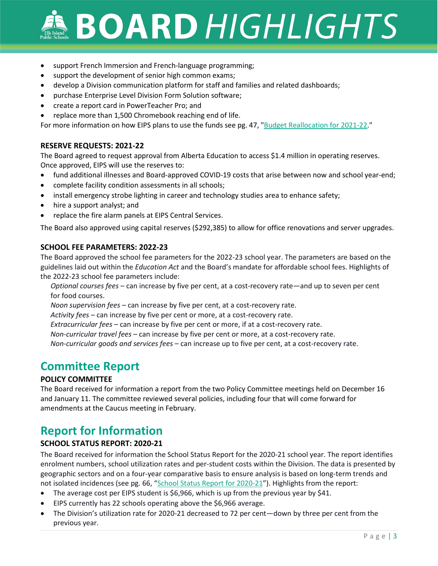# **BOARD HIGHLIGHTS**

- support French Immersion and French-language programming;
- support the development of senior high common exams;
- develop a Division communication platform for staff and families and related dashboards;
- purchase Enterprise Level Division Form Solution software;
- create a report card in PowerTeacher Pro; and
- replace more than 1,500 Chromebook reaching end of life.

For more information on how EIPS plans to use the funds see pg. 47, ["Budget Reallocation](https://www.eips.ca/download/378616) for 2021-22."

#### **RESERVE REQUESTS: 2021-22**

The Board agreed to request approval from Alberta Education to access \$1.4 million in operating reserves. Once approved, EIPS will use the reserves to:

- fund additional illnesses and Board-approved COVID-19 costs that arise between now and school year-end;
- complete facility condition assessments in all schools;
- install emergency strobe lighting in career and technology studies area to enhance safety;
- hire a support analyst; and
- replace the fire alarm panels at EIPS Central Services.

The Board also approved using capital reserves (\$292,385) to allow for office renovations and server upgrades.

#### **SCHOOL FEE PARAMETERS: 2022-23**

The Board approved the school fee parameters for the 2022-23 school year. The parameters are based on the guidelines laid out within the *Education Act* and the Board's mandate for affordable school fees. Highlights of the 2022-23 school fee parameters include:

*Optional courses fees –* can increase by five per cent, at a cost-recovery rate—and up to seven per cent for food courses.

*Noon supervision fees –* can increase by five per cent, at a cost-recovery rate.

*Activity fees –* can increase by five per cent or more, at a cost-recovery rate.

*Extracurricular fees* – can increase by five per cent or more, if at a cost-recovery rate.

*Non‐curricular travel fees* – can increase by five per cent or more, at a cost-recovery rate.

*Non‐curricular goods and services fees* – can increase up to five per cent, at a cost-recovery rate.

## **Committee Report**

#### **POLICY COMMITTEE**

The Board received for information a report from the two Policy Committee meetings held on December 16 and January 11. The committee reviewed several policies, including four that will come forward for amendments at the Caucus meeting in February.

## **Report for Information**

#### **SCHOOL STATUS REPORT: 2020-21**

The Board received for information the School Status Report for the 2020-21 school year. The report identifies enrolment numbers, school utilization rates and per-student costs within the Division. The data is presented by geographic sectors and on a four-year comparative basis to ensure analysis is based on long-term trends and not isolated incidences (see pg. 66, ["School Status Report for 2020-21"](https://www.eips.ca/download/378616)). Highlights from the report:

- The average cost per EIPS student is \$6,966, which is up from the previous year by \$41.
- EIPS currently has 22 schools operating above the \$6,966 average.
- The Division's utilization rate for 2020-21 decreased to 72 per cent—down by three per cent from the previous year.